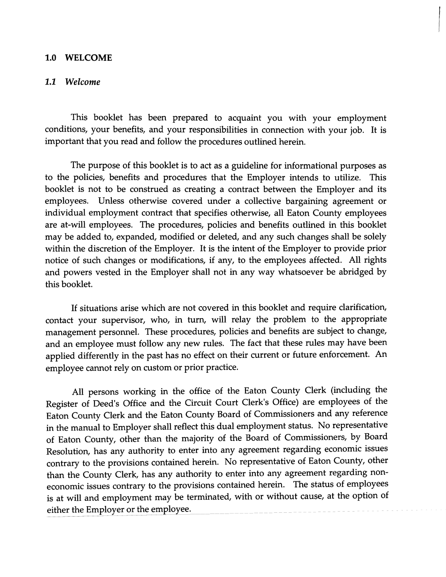## 1.0 WELCOME

## 1.1 *Welcome*

This booklet has been prepared to acquaint you with your employment conditions, your benefits, and your responsibilities in connection with your job. It is important that you read and follow the procedures outlined herein.

The purpose of this booklet is to act as a guideline for informational purposes as to the policies, benefits and procedures that the Employer intends to utilize. This booklet is not to be construed as creating a contract between the Employer and its employees. Unless otherwise covered under a collective bargaining agreement or individual employment contract that specifies otherwise, all Eaton County employees are at-will employees. The procedures, policies and benefits outlined in this booklet may be added to, expanded, modified or deleted, and any such changes shall be solely within the discretion of the Employer. It is the intent of the Employer to provide prior notice of such changes or modifications, if any, to the employees affected. All rights and powers vested in the Employer shall not in any way whatsoever be abridged by this booklet.

If situations arise which are not covered in this booklet and require clarification, contact your supervisor, who, in turn, will relay the problem to the appropriate management personnel. These procedures, policies and benefits are subject to change, and an employee must follow any new rules. The fact that these rules may have been applied differently in the past has no effect on their current or future enforcement. An employee cannot rely on custom or prior practice.

All persons working in the office of the Eaton County Clerk (including the Register of Deed's Office and the Circuit Court Clerk's Office) are employees of the Eaton County Clerk and the Eaton County Board of Commissioners and any reference in the manual to Employer shall reflect this dual employment status. No representative of Eaton County, other than the majority of the Board of Commissioners, by Board Resolution, has any authority to enter into any agreement regarding economic issues contrary to the provisions contained herein. No representative of Eaton County, other than the County Clerk, has any authority to enter into any agreement regarding noneconomic issues contrary to the provisions contained herein. The status of employees is at will and employment may be terminated, with or without cause, at the option of either the Employer or the employee.